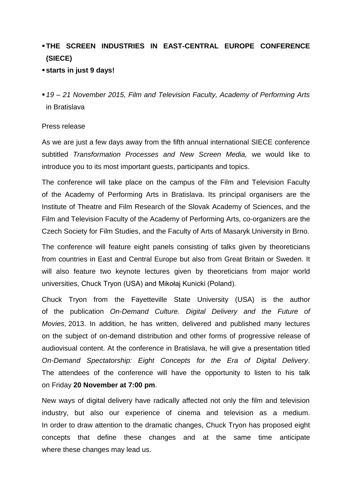## **THE SCREEN INDUSTRIES IN EAST-CENTRAL EUROPE CONFERENCE (SIECE)**

## **starts in just 9 days!**

*19 – 21 November 2015, Film and Television Faculty, Academy of Performing Arts* in Bratislava

## Press release

As we are just a few days away from the fifth annual international SIECE conference subtitled *Transformation Processes and New Screen Media,* we would like to introduce you to its most important guests, participants and topics.

The conference will take place on the campus of the Film and Television Faculty of the Academy of Performing Arts in Bratislava. Its principal organisers are the Institute of Theatre and Film Research of the Slovak Academy of Sciences, and the Film and Television Faculty of the Academy of Performing Arts, co-organizers are the Czech Society for Film Studies, and the Faculty of Arts of Masaryk University in Brno.

The conference will feature eight panels consisting of talks given by theoreticians from countries in East and Central Europe but also from Great Britain or Sweden. It will also feature two keynote lectures given by theoreticians from major world universities, Chuck Tryon (USA) and Mikołaj Kunicki (Poland).

Chuck Tryon from the Fayetteville State University (USA) is the author of the publication *On-Demand Culture. Digital Delivery and the Future of Movies*, 2013. In addition, he has written, delivered and published many lectures on the subject of on-demand distribution and other forms of progressive release of audiovisual content. At the conference in Bratislava, he will give a presentation titled *On-Demand Spectatorship: Eight Concepts for the Era of Digital Delivery*. The attendees of the conference will have the opportunity to listen to his talk on Friday **20 November at 7:00 pm**.

New ways of digital delivery have radically affected not only the film and television industry, but also our experience of cinema and television as a medium. In order to draw attention to the dramatic changes, Chuck Tryon has proposed eight concepts that define these changes and at the same time anticipate where these changes may lead us.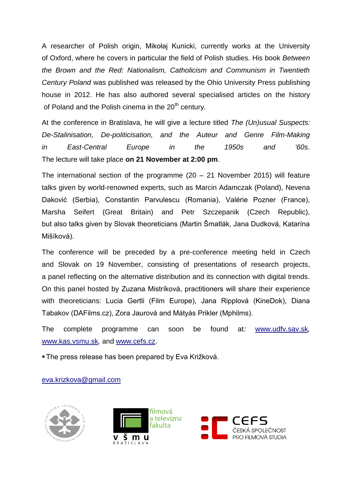A researcher of Polish origin, Mikołaj Kunicki, currently works at the University of Oxford, where he covers in particular the field of Polish studies. His book *Between the Brown and the Red: Nationalism, Catholicism and Communism in Twentieth Century Poland* was published was released by the Ohio University Press publishing house in 2012. He has also authored several specialised articles on the history of Poland and the Polish cinema in the  $20<sup>th</sup>$  century.

At the conference in Bratislava, he will give a lecture titled *The (Un)usual Suspects: De-Stalinisation, De-politicisation, and the Auteur and Genre Film-Making in East-Central Europe in the 1950s and '60s*. The lecture will take place **on 21 November at 2:00 pm**.

The international section of the programme (20 – 21 November 2015) will feature talks given by world-renowned experts, such as Marcin Adamczak (Poland), Nevena Daković (Serbia), Constantin Parvulescu (Romania), Valérie Pozner (France), Marsha Seifert (Great Britain) and Petr Szczepanik (Czech Republic), but also talks given by Slovak theoreticians (Martin Šmatlák, Jana Dudková, Katarína Mišíková).

The conference will be preceded by a pre-conference meeting held in Czech and Slovak on 19 November, consisting of presentations of research projects, a panel reflecting on the alternative distribution and its connection with digital trends. On this panel hosted by Zuzana Mistríková, practitioners will share their experience with theoreticians: Lucia Gertli (Film Europe), Jana Ripplová (KineDok), Diana Tabakov (DAFilms.cz), Zora Jaurová and Mátyás Prikler (Mphilms).

The complete programme can soon be found at*:* [www.udfv.sav.sk](http://www.udfv.sav.sk/)*,*  [www.kas.vsmu.sk](http://www.kas.vsmu.sk/)*,* and [www.cefs.cz.](http://www.cefs.cz/)

The press release has been prepared by Eva Križková.

## [eva.krizkova@gmail.com](mailto:eva.krizkova@gmail.com)